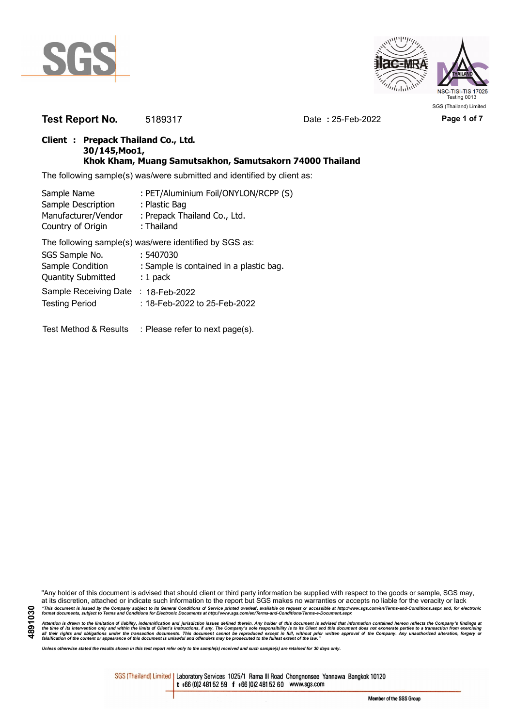



**Test Report No.** 5189317 Date **:** 25-Feb-2022 **Page 1 of 7**

## **Client : Prepack Thailand Co., Ltd. 30/145,Moo1, Khok Kham, Muang Samutsakhon, Samutsakorn 74000 Thailand**

The following sample(s) was/were submitted and identified by client as:

| Sample Name               | : PET/Aluminium Foil/ONYLON/RCPP (S)                   |
|---------------------------|--------------------------------------------------------|
| Sample Description        | : Plastic Bag                                          |
| Manufacturer/Vendor       | : Prepack Thailand Co., Ltd.                           |
| Country of Origin         | : Thailand                                             |
|                           | The following sample(s) was/were identified by SGS as: |
| SGS Sample No.            | : 5407030                                              |
| Sample Condition          | : Sample is contained in a plastic bag.                |
| <b>Quantity Submitted</b> | $: 1$ pack                                             |
| Sample Receiving Date     | $: 18$ -Feb-2022                                       |
| <b>Testing Period</b>     | :18-Feb-2022 to 25-Feb-2022                            |

Test Method & Results : Please refer to next page(s).

"Any holder of this document is advised that should client or third party information be supplied with respect to the goods or sample, SGS may, at its discretion, attached or indicate such information to the report but SGS makes no warranties or accepts no liable for the veracity or lack "This document is issued by the Company subject to its General Conditions of Service printed overleaf, available on request or accessible at http://www.sgs.com/en/Terms-and-Conditions.aspx and, for electronic<br>format docume

Attention is drawn to the limitation of liability, indemnification and jurisdiction issues defined therein. Any holder of this document is advised that information contained hereon reflects the Company's findings at<br>all th

*Unless otherwise stated the results shown in this test report refer only to the sample(s) received and such sample(s) are retained for 30 days only.*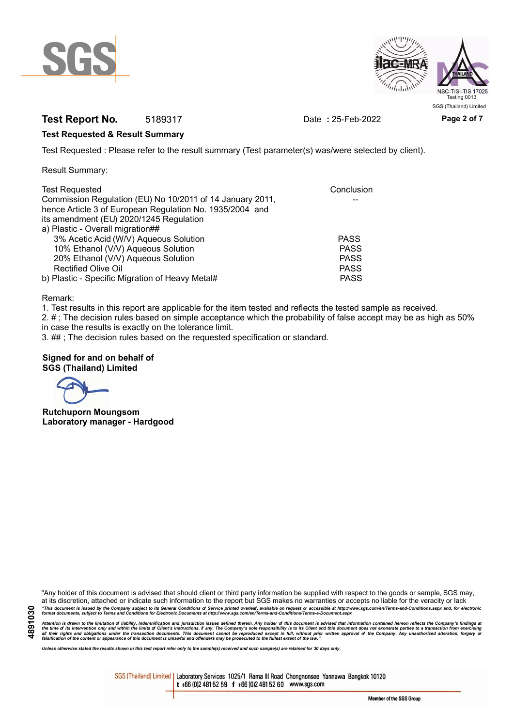



## **Test Report No.** 5189317 Date **:** 25-Feb-2022 **Page 2 of 7**

## **Test Requested & Result Summary**

Test Requested : Please refer to the result summary (Test parameter(s) was/were selected by client).

Result Summary:

| <b>Test Requested</b>                                     | Conclusion  |
|-----------------------------------------------------------|-------------|
| Commission Regulation (EU) No 10/2011 of 14 January 2011, |             |
| hence Article 3 of European Regulation No. 1935/2004 and  |             |
| its amendment (EU) 2020/1245 Regulation                   |             |
| a) Plastic - Overall migration##                          |             |
| 3% Acetic Acid (W/V) Aqueous Solution                     | <b>PASS</b> |
| 10% Ethanol (V/V) Aqueous Solution                        | <b>PASS</b> |
| 20% Ethanol (V/V) Aqueous Solution                        | <b>PASS</b> |
| <b>Rectified Olive Oil</b>                                | <b>PASS</b> |
| b) Plastic - Specific Migration of Heavy Metal#           | <b>PASS</b> |

Remark:

1. Test results in this report are applicable for the item tested and reflects the tested sample as received.

2. # ; The decision rules based on simple acceptance which the probability of false accept may be as high as 50% in case the results is exactly on the tolerance limit.

3. ## ; The decision rules based on the requested specification or standard.

## **Signed for and on behalf of SGS (Thailand) Limited**

**Rutchuporn Moungsom Laboratory manager - Hardgood**

"Any holder of this document is advised that should client or third party information be supplied with respect to the goods or sample, SGS may, at its discretion, attached or indicate such information to the report but SGS makes no warranties or accepts no liable for the veracity or lack "This document is issued by the Company subject to its General Conditions of Service printed overleaf, available on request or accessible at http://www.sgs.com/en/Terms-and-Conditions.aspx and, for electronic<br>format docume

Attention is drawn to the limitation of liability, indemnification and jurisdiction issues defined therein. Any holder of this document is advised that information contained hereon reflects the Company's findings at<br>all th

*Unless otherwise stated the results shown in this test report refer only to the sample(s) received and such sample(s) are retained for 30 days only.*

SGS (Thailand) Limited | Laboratory Services 1025/1 Rama III Road Chongnonsee Yannawa Bangkok 10120 t +66 (0)2 481 52 59 f +66 (0)2 481 52 60 www.sgs.com

Member of the SGS Group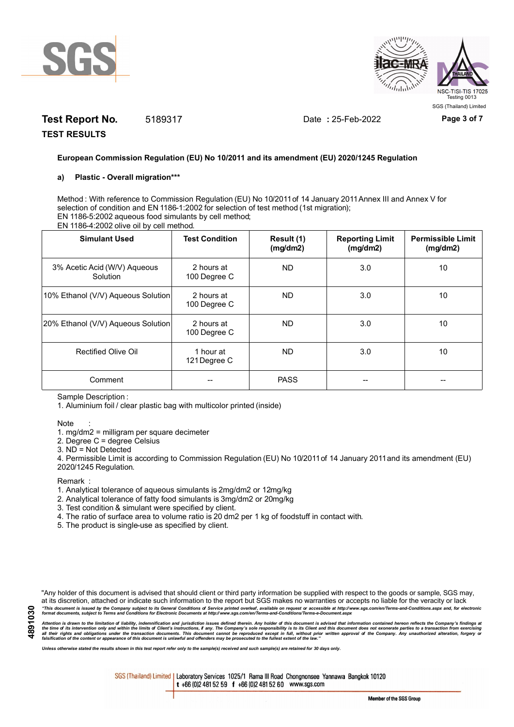



# **Test Report No.** 5189317 Date **:** 25-Feb-2022 **Page 3 of 7**

**TEST RESULTS**

## **European Commission Regulation (EU) No 10/2011 and its amendment (EU) 2020/1245 Regulation**

## **a) Plastic - Overall migration\*\*\***

Method : With reference to Commission Regulation (EU) No 10/2011 of 14 January 2011 Annex III and Annex V for selection of condition and EN 1186-1:2002 for selection of test method (1st migration); EN 1186-5:2002 aqueous food simulants by cell method; EN 1186-4:2002 olive oil by cell method.

| <b>Simulant Used</b>                     | <b>Test Condition</b>      | Result (1)<br>(mg/dm2) | <b>Reporting Limit</b><br>(mg/dm2) | <b>Permissible Limit</b><br>(mg/dm2) |
|------------------------------------------|----------------------------|------------------------|------------------------------------|--------------------------------------|
| 3% Acetic Acid (W/V) Aqueous<br>Solution | 2 hours at<br>100 Degree C | ND.                    | 3.0                                | 10                                   |
| 10% Ethanol (V/V) Aqueous Solution       | 2 hours at<br>100 Degree C | ND.                    | 3.0                                | 10                                   |
| 20% Ethanol (V/V) Aqueous Solution       | 2 hours at<br>100 Degree C | ND.                    | 3.0                                | 10                                   |
| Rectified Olive Oil                      | 1 hour at<br>121 Degree C  | ND.                    | 3.0                                | 10                                   |
| Comment                                  |                            | <b>PASS</b>            |                                    |                                      |

Sample Description :

1. Aluminium foil / clear plastic bag with multicolor printed (inside)

#### Note :

1. mg/dm2 = milligram per square decimeter

2. Degree C = degree Celsius

3. ND = Not Detected

4. Permissible Limit is according to Commission Regulation (EU) No 10/2011 of 14 January 2011 and its amendment (EU) 2020/1245 Regulation.

**Remark** 

- 1. Analytical tolerance of aqueous simulants is 2mg/dm2 or 12mg/kg
- 2. Analytical tolerance of fatty food simulants is 3mg/dm2 or 20mg/kg
- 3. Test condition & simulant were specified by client.
- 4. The ratio of surface area to volume ratio is 20 dm2 per 1 kg of foodstuff in contact with.
- 5. The product is single-use as specified by client.

"Any holder of this document is advised that should client or third party information be supplied with respect to the goods or sample, SGS may, at its discretion, attached or indicate such information to the report but SGS makes no warranties or accepts no liable for the veracity or lack "This document is issued by the Company subject to its General Conditions of Service printed overleaf, available on request or accessible at http://www.sgs.com/en/Terms-and-Conditions.aspx and, for electronic<br>format docume

Attention is drawn to the limitation of liability, indemnification and jurisdiction issues defined therein. Any holder of this document is advised that information contained hereon reflects the Company's findings at<br>all th

*Unless otherwise stated the results shown in this test report refer only to the sample(s) received and such sample(s) are retained for 30 days only.*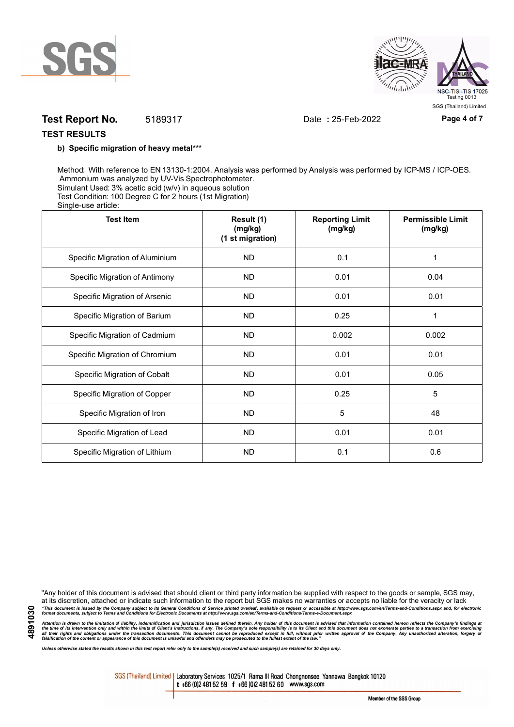



## **Test Report No.** 5189317 Date **:** 25-Feb-2022 **Page 4 of 7**

## **TEST RESULTS**

### **b) Specific migration of heavy metal\*\*\***

Method: With reference to EN 13130-1:2004. Analysis was performed by Analysis was performed by ICP-MS / ICP-OES. Ammonium was analyzed by UV-Vis Spectrophotometer. Simulant Used: 3% acetic acid (w/v) in aqueous solution Test Condition: 100 Degree C for 2 hours (1st Migration) Single-use article:

| <b>Test Item</b>                | Result (1)<br>(mg/kg)<br>(1 st migration) | <b>Reporting Limit</b><br>(mg/kg) | <b>Permissible Limit</b><br>(mg/kg) |
|---------------------------------|-------------------------------------------|-----------------------------------|-------------------------------------|
| Specific Migration of Aluminium | <b>ND</b>                                 | 0.1                               | 1                                   |
| Specific Migration of Antimony  | <b>ND</b>                                 | 0.01                              | 0.04                                |
| Specific Migration of Arsenic   | <b>ND</b>                                 | 0.01                              | 0.01                                |
| Specific Migration of Barium    | <b>ND</b>                                 | 0.25                              | 1                                   |
| Specific Migration of Cadmium   | <b>ND</b>                                 | 0.002                             | 0.002                               |
| Specific Migration of Chromium  | <b>ND</b>                                 | 0.01                              | 0.01                                |
| Specific Migration of Cobalt    | <b>ND</b>                                 | 0.01                              | 0.05                                |
| Specific Migration of Copper    | <b>ND</b>                                 | 0.25                              | 5                                   |
| Specific Migration of Iron      | <b>ND</b>                                 | 5                                 | 48                                  |
| Specific Migration of Lead      | <b>ND</b>                                 | 0.01                              | 0.01                                |
| Specific Migration of Lithium   | <b>ND</b>                                 | 0.1                               | 0.6                                 |

**4891030**

"Any holder of this document is advised that should client or third party information be supplied with respect to the goods or sample, SGS may, at its discretion, attached or indicate such information to the report but SGS makes no warranties or accepts no liable for the veracity or lack "This document is issued by the Company subject to its General Conditions of Service printed overleaf, available on request or accessible at http://www.sgs.com/en/Terms-and-Conditions.aspx and, for electronic<br>format docume

Attention is drawn to the limitation of liability, indemnification and jurisdiction issues defined therein. Any holder of this document is advised that information contained hereon reflects the Company's findings at<br>all th

*Unless otherwise stated the results shown in this test report refer only to the sample(s) received and such sample(s) are retained for 30 days only.*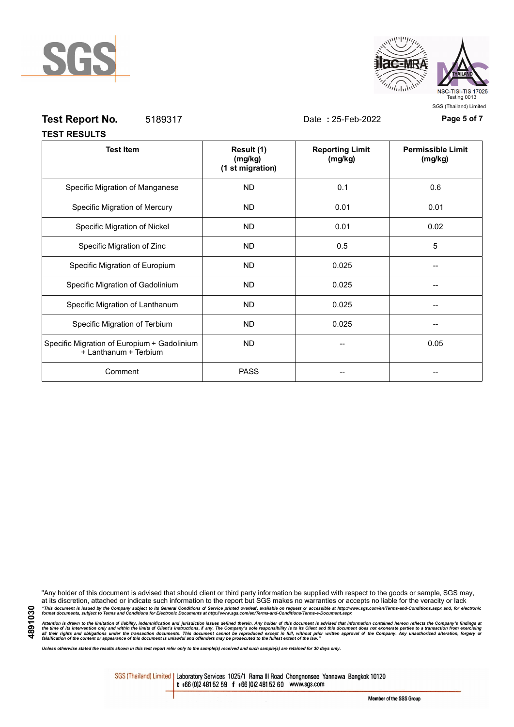



SGS (Thailand) Limited

| <b>Test Report No.</b> | 5189317 |                       | Date: 25-Feb-2022                 | Page 5 of 7                         |
|------------------------|---------|-----------------------|-----------------------------------|-------------------------------------|
| <b>TEST RESULTS</b>    |         |                       |                                   |                                     |
| <b>Test Item</b>       |         | Result (1)<br>(ma/ka) | <b>Reporting Limit</b><br>(ma/ka) | <b>Permissible Limit</b><br>(ma/ka) |

|                                                                      | (mg/kg)<br>(1 st migration) | (mg/kg) | (mg/kg) |
|----------------------------------------------------------------------|-----------------------------|---------|---------|
| Specific Migration of Manganese                                      | <b>ND</b>                   | 0.1     | 0.6     |
| Specific Migration of Mercury                                        | <b>ND</b>                   | 0.01    | 0.01    |
| Specific Migration of Nickel                                         | ND.                         | 0.01    | 0.02    |
| Specific Migration of Zinc                                           | ND.                         | 0.5     | 5       |
| Specific Migration of Europium                                       | ND.                         | 0.025   |         |
| Specific Migration of Gadolinium                                     | <b>ND</b>                   | 0.025   |         |
| Specific Migration of Lanthanum                                      | <b>ND</b>                   | 0.025   |         |
| Specific Migration of Terbium                                        | ND.                         | 0.025   |         |
| Specific Migration of Europium + Gadolinium<br>+ Lanthanum + Terbium | ND.                         |         | 0.05    |
| Comment                                                              | <b>PASS</b>                 |         |         |

"Any holder of this document is advised that should client or third party information be supplied with respect to the goods or sample, SGS may, at its discretion, attached or indicate such information to the report but SGS makes no warranties or accepts no liable for the veracity or lack "This document is issued by the Company subject to its General Conditions of Service printed overleaf, available on request or accessible at http://www.sgs.com/en/Terms-and-Conditions.aspx and, for electronic<br>format docume

Attention is drawn to the limitation of liability, indemnification and jurisdiction issues defined therein. Any holder of this document is advised that information contained hereon reflects the Company's findings at<br>all th

*Unless otherwise stated the results shown in this test report refer only to the sample(s) received and such sample(s) are retained for 30 days only.*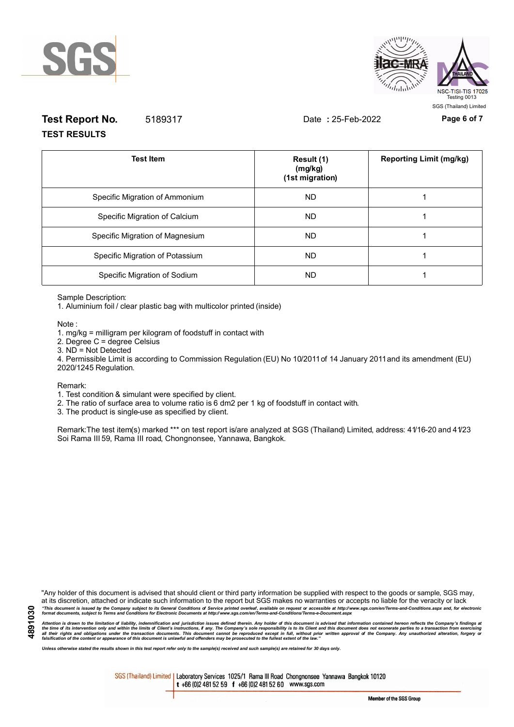



# **Test Report No.** 5189317 Date **:** 25-Feb-2022 **Page 6 of 7 TEST RESULTS**

| <b>Test Item</b>                | Result (1)<br>(mg/kg)<br>(1st migration) | <b>Reporting Limit (mg/kg)</b> |
|---------------------------------|------------------------------------------|--------------------------------|
| Specific Migration of Ammonium  | ND.                                      |                                |
| Specific Migration of Calcium   | ND.                                      |                                |
| Specific Migration of Magnesium | <b>ND</b>                                |                                |
| Specific Migration of Potassium | ND.                                      |                                |
| Specific Migration of Sodium    | ND.                                      |                                |

Sample Description:

1. Aluminium foil / clear plastic bag with multicolor printed (inside)

Note :

1. mg/kg = milligram per kilogram of foodstuff in contact with

- 2. Degree C = degree Celsius
- 3. ND = Not Detected

4. Permissible Limit is according to Commission Regulation (EU) No 10/2011 of 14 January 2011 and its amendment (EU) 2020/1245 Regulation.

#### Remark:

1. Test condition & simulant were specified by client.

2. The ratio of surface area to volume ratio is 6 dm2 per 1 kg of foodstuff in contact with.

3. The product is single-use as specified by client.

Remark:The test item(s) marked \*\*\* on test report is/are analyzed at SGS (Thailand) Limited, address: 41/16-20 and 41/23 Soi Rama III 59, Rama III road, Chongnonsee, Yannawa, Bangkok.

"Any holder of this document is advised that should client or third party information be supplied with respect to the goods or sample, SGS may, at its discretion, attached or indicate such information to the report but SGS makes no warranties or accepts no liable for the veracity or lack "This document is issued by the Company subject to its General Conditions of Service printed overleaf, available on request or accessible at http://www.sgs.com/en/Terms-and-Conditions.aspx and, for electronic<br>format docume

Attention is drawn to the limitation of liability, indemnification and jurisdiction issues defined therein. Any holder of this document is advised that information contained hereon reflects the Company's findings at<br>all th

*Unless otherwise stated the results shown in this test report refer only to the sample(s) received and such sample(s) are retained for 30 days only.*